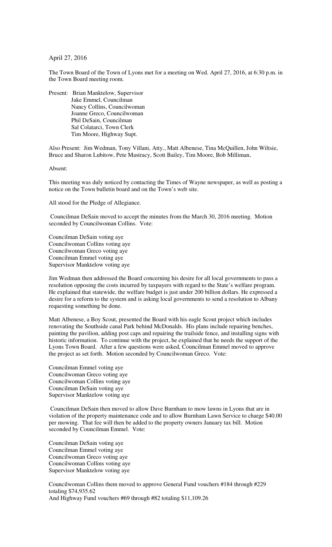April 27, 2016

The Town Board of the Town of Lyons met for a meeting on Wed. April 27, 2016, at 6:30 p.m. in the Town Board meeting room.

Present: Brian Manktelow, Supervisor Jake Emmel, Councilman Nancy Collins, Councilwoman Joanne Greco, Councilwoman Phil DeSain, Councilman Sal Colatarci, Town Clerk Tim Moore, Highway Supt.

Also Present: Jim Wedman, Tony Villani, Atty., Matt Albenese, Tina McQuillen, John Wiltsie, Bruce and Sharon Lubitow, Pete Mastracy, Scott Bailey, Tim Moore, Bob Milliman,

Absent:

This meeting was duly noticed by contacting the Times of Wayne newspaper, as well as posting a notice on the Town bulletin board and on the Town's web site.

All stood for the Pledge of Allegiance.

 Councilman DeSain moved to accept the minutes from the March 30, 2016 meeting. Motion seconded by Councilwoman Collins. Vote:

Councilman DeSain voting aye Councilwoman Collins voting aye Councilwoman Greco voting aye Councilman Emmel voting aye Supervisor Manktelow voting aye

Jim Wedman then addressed the Board concerning his desire for all local governments to pass a resolution opposing the costs incurred by taxpayers with regard to the State's welfare program. He explained that statewide, the welfare budget is just under 200 billion dollars. He expressed a desire for a reform to the system and is asking local governments to send a resolution to Albany requesting something be done.

Matt Albenese, a Boy Scout, presented the Board with his eagle Scout project which includes renovating the Southside canal Park behind McDonalds. His plans include repairing benches, painting the pavilion, adding post caps and repairing the trailside fence, and installing signs with historic information. To continue with the project, he explained that he needs the support of the Lyons Town Board. After a few questions were asked, Councilman Emmel moved to approve the project as set forth. Motion seconded by Councilwoman Greco. Vote:

Councilman Emmel voting aye Councilwoman Greco voting aye Councilwoman Collins voting aye Councilman DeSain voting aye Supervisor Manktelow voting aye

 Councilman DeSain then moved to allow Dave Burnham to mow lawns in Lyons that are in violation of the property maintenance code and to allow Burnham Lawn Service to charge \$40.00 per mowing. That fee will then be added to the property owners January tax bill. Motion seconded by Councilman Emmel. Vote:

Councilman DeSain voting aye Councilman Emmel voting aye Councilwoman Greco voting aye Councilwoman Collins voting aye Supervisor Manktelow voting aye

Councilwoman Collins them moved to approve General Fund vouchers #184 through #229 totaling \$74,935.62 And Highway Fund vouchers #69 through #82 totaling \$11,109.26